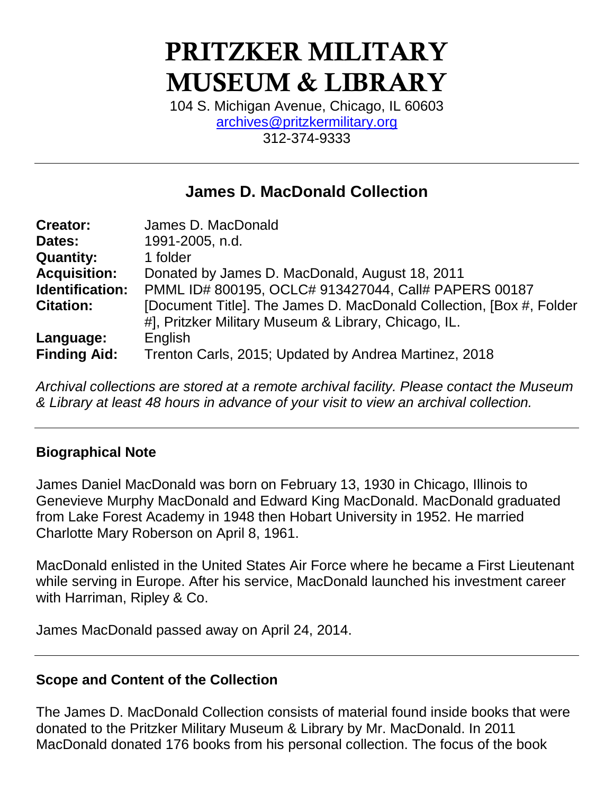# PRITZKER MILITARY MUSEUM & LIBRARY

104 S. Michigan Avenue, Chicago, IL 60603 [archives@pritzkermilitary.org](mailto:archives@pritzkermilitary.org) 312-374-9333

## **James D. MacDonald Collection**

| <b>Creator:</b>        | James D. MacDonald                                                   |
|------------------------|----------------------------------------------------------------------|
| Dates:                 | 1991-2005, n.d.                                                      |
| <b>Quantity:</b>       | 1 folder                                                             |
| <b>Acquisition:</b>    | Donated by James D. MacDonald, August 18, 2011                       |
| <b>Identification:</b> | PMML ID# 800195, OCLC# 913427044, Call# PAPERS 00187                 |
| <b>Citation:</b>       | [Document Title]. The James D. MacDonald Collection, [Box #, Folder] |
|                        | #], Pritzker Military Museum & Library, Chicago, IL.                 |
| Language:              | English                                                              |
| <b>Finding Aid:</b>    | Trenton Carls, 2015; Updated by Andrea Martinez, 2018                |

*Archival collections are stored at a remote archival facility. Please contact the Museum & Library at least 48 hours in advance of your visit to view an archival collection.*

#### **Biographical Note**

James Daniel MacDonald was born on February 13, 1930 in Chicago, Illinois to Genevieve Murphy MacDonald and Edward King MacDonald. MacDonald graduated from Lake Forest Academy in 1948 then Hobart University in 1952. He married Charlotte Mary Roberson on April 8, 1961.

MacDonald enlisted in the United States Air Force where he became a First Lieutenant while serving in Europe. After his service, MacDonald launched his investment career with Harriman, Ripley & Co.

James MacDonald passed away on April 24, 2014.

#### **Scope and Content of the Collection**

The James D. MacDonald Collection consists of material found inside books that were donated to the Pritzker Military Museum & Library by Mr. MacDonald. In 2011 MacDonald donated 176 books from his personal collection. The focus of the book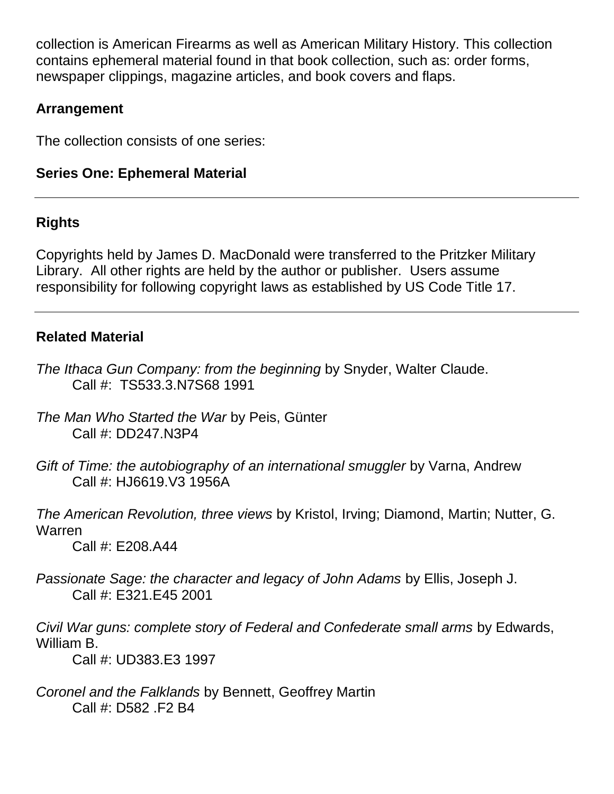collection is American Firearms as well as American Military History. This collection contains ephemeral material found in that book collection, such as: order forms, newspaper clippings, magazine articles, and book covers and flaps.

## **Arrangement**

The collection consists of one series:

## **Series One: Ephemeral Material**

## **Rights**

Copyrights held by James D. MacDonald were transferred to the Pritzker Military Library. All other rights are held by the author or publisher. Users assume responsibility for following copyright laws as established by US Code Title 17.

### **Related Material**

- *The Ithaca Gun Company: from the beginning* by Snyder, Walter Claude. Call #: TS533.3.N7S68 1991
- *The Man Who Started the War* by Peis, Günter Call #: DD247.N3P4
- *Gift of Time: the autobiography of an international smuggler* by Varna, Andrew Call #: HJ6619.V3 1956A

*The American Revolution, three views* by Kristol, Irving; Diamond, Martin; Nutter, G. Warren

Call #: E208.A44

*Passionate Sage: the character and legacy of John Adams* by Ellis, Joseph J. Call #: E321.E45 2001

*Civil War guns: complete story of Federal and Confederate small arms* by Edwards, William B.

Call #: UD383.E3 1997

*Coronel and the Falklands* by Bennett, Geoffrey Martin Call #: D582 .F2 B4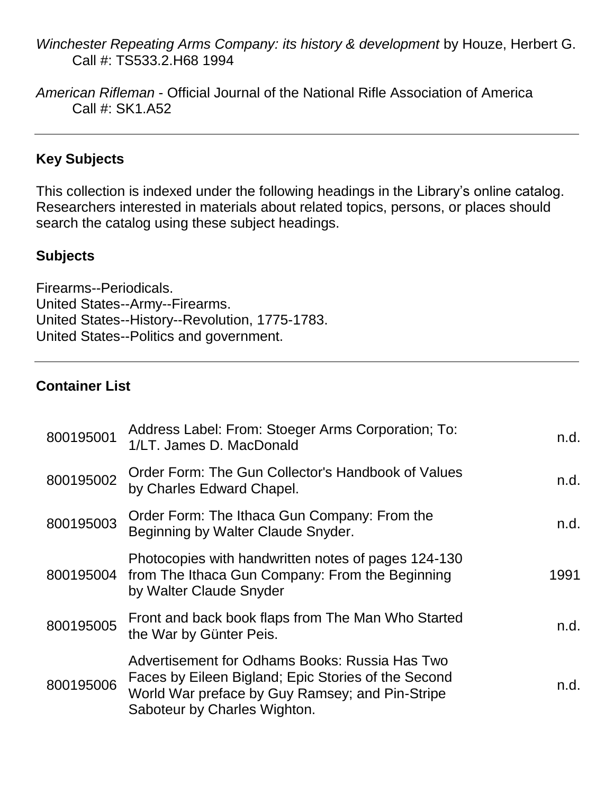- *Winchester Repeating Arms Company: its history & development* by Houze, Herbert G. Call #: TS533.2.H68 1994
- *American Rifleman* Official Journal of the National Rifle Association of America Call #: SK1.A52

#### **Key Subjects**

This collection is indexed under the following headings in the Library's online catalog. Researchers interested in materials about related topics, persons, or places should search the catalog using these subject headings.

#### **Subjects**

Firearms--Periodicals. United States--Army--Firearms. United States--History--Revolution, 1775-1783. United States--Politics and government.

#### **Container List**

| 800195001 | Address Label: From: Stoeger Arms Corporation; To:<br>1/LT. James D. MacDonald                                                                                                           | n.d. |
|-----------|------------------------------------------------------------------------------------------------------------------------------------------------------------------------------------------|------|
| 800195002 | Order Form: The Gun Collector's Handbook of Values<br>by Charles Edward Chapel.                                                                                                          | n.d. |
| 800195003 | Order Form: The Ithaca Gun Company: From the<br>Beginning by Walter Claude Snyder.                                                                                                       | n.d. |
|           | Photocopies with handwritten notes of pages 124-130<br>800195004 from The Ithaca Gun Company: From the Beginning<br>by Walter Claude Snyder                                              | 1991 |
| 800195005 | Front and back book flaps from The Man Who Started<br>the War by Günter Peis.                                                                                                            | n.d. |
| 800195006 | Advertisement for Odhams Books: Russia Has Two<br>Faces by Eileen Bigland; Epic Stories of the Second<br>World War preface by Guy Ramsey; and Pin-Stripe<br>Saboteur by Charles Wighton. | n.d. |